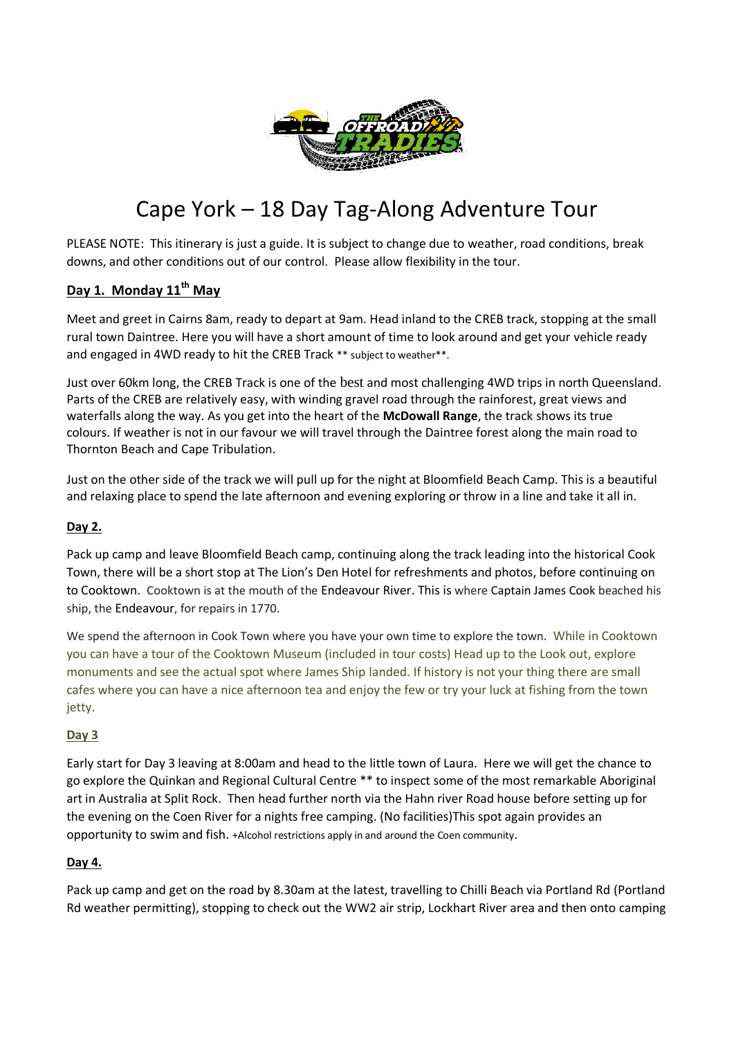

# Cape York – 18 Day Tag-Along Adventure Tour

PLEASE NOTE: This itinerary is just a guide. It is subject to change due to weather, road conditions, break downs, and other conditions out of our control. Please allow flexibility in the tour.

### **Day 1. Monday 11th May**

Meet and greet in Cairns 8am, ready to depart at 9am. Head inland to the CREB track, stopping at the small rural town Daintree. Here you will have a short amount of time to look around and get your vehicle ready and engaged in 4WD ready to hit the CREB Track \*\* subject to weather\*\*.

Just over 60km long, the CREB Track is one of the best and most challenging 4WD trips in north Queensland. Parts of the CREB are relatively easy, with winding gravel road through the rainforest, great views and waterfalls along the way. As you get into the heart of the **McDowall Range**, the track shows its true colours. If weather is not in our favour we will travel through the Daintree forest along the main road to Thornton Beach and Cape Tribulation.

Just on the other side of the track we will pull up for the night at Bloomfield Beach Camp. This is a beautiful and relaxing place to spend the late afternoon and evening exploring or throw in a line and take it all in.

#### **Day 2.**

Pack up camp and leave Bloomfield Beach camp, continuing along the track leading into the historical Cook Town, there will be a short stop at The Lion's Den Hotel for refreshments and photos, before continuing on to Cooktown. Cooktown is at the mouth of the Endeavour River. This is where Captain James Cook beached his ship, the Endeavour, for repairs in 1770.

We spend the afternoon in Cook Town where you have your own time to explore the town. While in Cooktown you can have a tour of the Cooktown Museum (included in tour costs) Head up to the Look out, explore monuments and see the actual spot where James Ship landed. If history is not your thing there are small cafes where you can have a nice afternoon tea and enjoy the few or try your luck at fishing from the town jetty.

#### **Day 3**

Early start for Day 3 leaving at 8:00am and head to the little town of Laura. Here we will get the chance to go explore the Quinkan and Regional Cultural Centre \*\* to inspect some of the most remarkable Aboriginal art in Australia at Split Rock. Then head further north via the Hahn river Road house before setting up for the evening on the Coen River for a nights free camping. (No facilities)This spot again provides an opportunity to swim and fish. +Alcohol restrictions apply in and around the Coen community.

#### **Day 4.**

Pack up camp and get on the road by 8.30am at the latest, travelling to Chilli Beach via Portland Rd (Portland Rd weather permitting), stopping to check out the WW2 air strip, Lockhart River area and then onto camping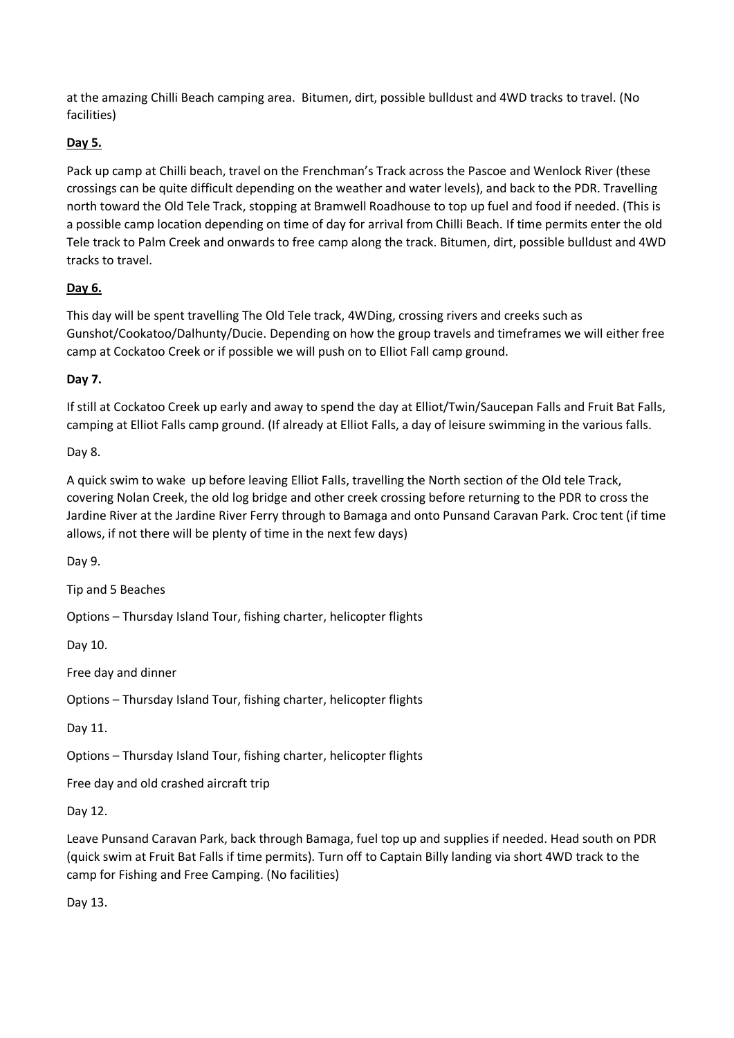at the amazing Chilli Beach camping area. Bitumen, dirt, possible bulldust and 4WD tracks to travel. (No facilities)

## **Day 5.**

Pack up camp at Chilli beach, travel on the Frenchman's Track across the Pascoe and Wenlock River (these crossings can be quite difficult depending on the weather and water levels), and back to the PDR. Travelling north toward the Old Tele Track, stopping at Bramwell Roadhouse to top up fuel and food if needed. (This is a possible camp location depending on time of day for arrival from Chilli Beach. If time permits enter the old Tele track to Palm Creek and onwards to free camp along the track. Bitumen, dirt, possible bulldust and 4WD tracks to travel.

### **Day 6.**

This day will be spent travelling The Old Tele track, 4WDing, crossing rivers and creeks such as Gunshot/Cookatoo/Dalhunty/Ducie. Depending on how the group travels and timeframes we will either free camp at Cockatoo Creek or if possible we will push on to Elliot Fall camp ground.

### **Day 7.**

If still at Cockatoo Creek up early and away to spend the day at Elliot/Twin/Saucepan Falls and Fruit Bat Falls, camping at Elliot Falls camp ground. (If already at Elliot Falls, a day of leisure swimming in the various falls.

Day 8.

A quick swim to wake up before leaving Elliot Falls, travelling the North section of the Old tele Track, covering Nolan Creek, the old log bridge and other creek crossing before returning to the PDR to cross the Jardine River at the Jardine River Ferry through to Bamaga and onto Punsand Caravan Park. Croc tent (if time allows, if not there will be plenty of time in the next few days)

Day 9.

Tip and 5 Beaches

Options – Thursday Island Tour, fishing charter, helicopter flights

Day 10.

Free day and dinner

Options – Thursday Island Tour, fishing charter, helicopter flights

Day 11.

Options – Thursday Island Tour, fishing charter, helicopter flights

Free day and old crashed aircraft trip

Day 12.

Leave Punsand Caravan Park, back through Bamaga, fuel top up and supplies if needed. Head south on PDR (quick swim at Fruit Bat Falls if time permits). Turn off to Captain Billy landing via short 4WD track to the camp for Fishing and Free Camping. (No facilities)

Day 13.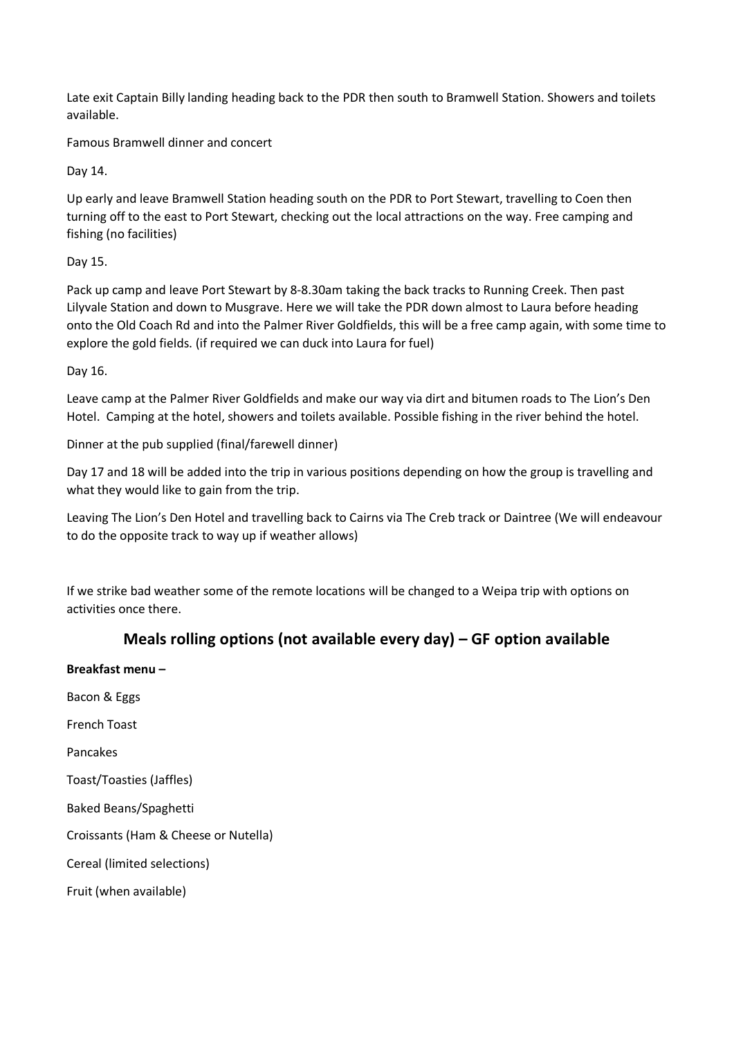Late exit Captain Billy landing heading back to the PDR then south to Bramwell Station. Showers and toilets available.

Famous Bramwell dinner and concert

Day 14.

Up early and leave Bramwell Station heading south on the PDR to Port Stewart, travelling to Coen then turning off to the east to Port Stewart, checking out the local attractions on the way. Free camping and fishing (no facilities)

Day 15.

Pack up camp and leave Port Stewart by 8-8.30am taking the back tracks to Running Creek. Then past Lilyvale Station and down to Musgrave. Here we will take the PDR down almost to Laura before heading onto the Old Coach Rd and into the Palmer River Goldfields, this will be a free camp again, with some time to explore the gold fields. (if required we can duck into Laura for fuel)

Day 16.

Leave camp at the Palmer River Goldfields and make our way via dirt and bitumen roads to The Lion's Den Hotel. Camping at the hotel, showers and toilets available. Possible fishing in the river behind the hotel.

Dinner at the pub supplied (final/farewell dinner)

Day 17 and 18 will be added into the trip in various positions depending on how the group is travelling and what they would like to gain from the trip.

Leaving The Lion's Den Hotel and travelling back to Cairns via The Creb track or Daintree (We will endeavour to do the opposite track to way up if weather allows)

If we strike bad weather some of the remote locations will be changed to a Weipa trip with options on activities once there.

# **Meals rolling options (not available every day) – GF option available**

**Breakfast menu –** Bacon & Eggs French Toast Pancakes Toast/Toasties (Jaffles) Baked Beans/Spaghetti Croissants (Ham & Cheese or Nutella) Cereal (limited selections) Fruit (when available)